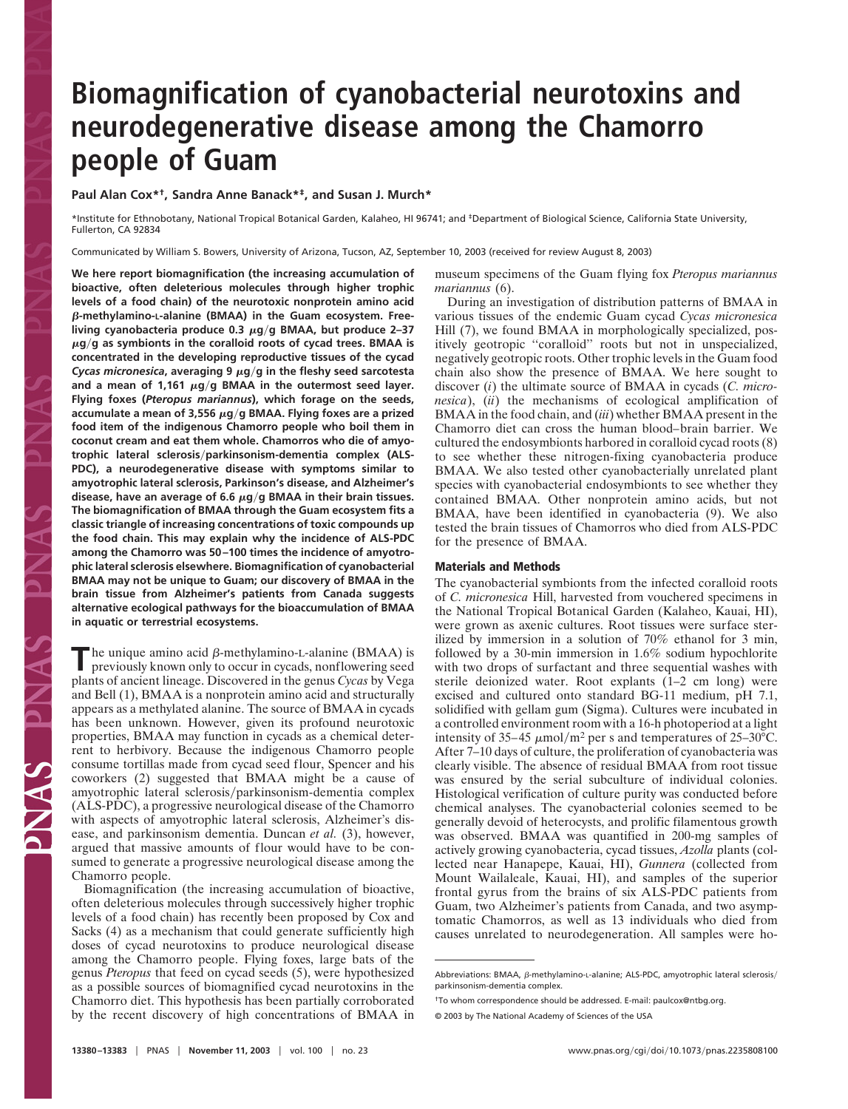## **Biomagnification of cyanobacterial neurotoxins and neurodegenerative disease among the Chamorro people of Guam**

**Paul Alan Cox\*†, Sandra Anne Banack\*‡, and Susan J. Murch\***

\*Institute for Ethnobotany, National Tropical Botanical Garden, Kalaheo, HI 96741; and ‡Department of Biological Science, California State University, Fullerton, CA 92834

Communicated by William S. Bowers, University of Arizona, Tucson, AZ, September 10, 2003 (received for review August 8, 2003)

**We here report biomagnification (the increasing accumulation of bioactive, often deleterious molecules through higher trophic levels of a food chain) of the neurotoxic nonprotein amino acid -methylamino-L-alanine (BMAA) in the Guam ecosystem. Free**living cyanobacteria produce 0.3 μg/g BMAA, but produce 2–37  $\mu$ g/g as symbionts in the coralloid roots of cycad trees. BMAA is **concentrated in the developing reproductive tissues of the cycad** *Cycas micronesica*, averaging 9  $\mu$ g/g in the fleshy seed sarcotesta and a mean of 1,161  $\mu$ g/g BMAA in the outermost seed layer. **Flying foxes (***Pteropus mariannus***), which forage on the seeds,** accumulate a mean of 3,556 μg/g BMAA. Flying foxes are a prized **food item of the indigenous Chamorro people who boil them in coconut cream and eat them whole. Chamorros who die of amyotrophic lateral sclerosisparkinsonism-dementia complex (ALS-PDC), a neurodegenerative disease with symptoms similar to amyotrophic lateral sclerosis, Parkinson's disease, and Alzheimer's** disease, have an average of 6.6  $\mu$ g/g BMAA in their brain tissues. **The biomagnification of BMAA through the Guam ecosystem fits a classic triangle of increasing concentrations of toxic compounds up the food chain. This may explain why the incidence of ALS-PDC among the Chamorro was 50–100 times the incidence of amyotrophic lateral sclerosis elsewhere. Biomagnification of cyanobacterial BMAA may not be unique to Guam; our discovery of BMAA in the brain tissue from Alzheimer's patients from Canada suggests alternative ecological pathways for the bioaccumulation of BMAA in aquatic or terrestrial ecosystems.**

 $\blacksquare$  he unique amino acid  $\beta$ -methylamino-L-alanine (BMAA) is previously known only to occur in cycads, nonflowering seed plants of ancient lineage. Discovered in the genus *Cycas* by Vega and Bell (1), BMAA is a nonprotein amino acid and structurally appears as a methylated alanine. The source of BMAA in cycads has been unknown. However, given its profound neurotoxic properties, BMAA may function in cycads as a chemical deterrent to herbivory. Because the indigenous Chamorro people consume tortillas made from cycad seed flour, Spencer and his coworkers (2) suggested that BMAA might be a cause of amyotrophic lateral sclerosis/parkinsonism-dementia complex (ALS-PDC), a progressive neurological disease of the Chamorro with aspects of amyotrophic lateral sclerosis, Alzheimer's disease, and parkinsonism dementia. Duncan *et al.* (3), however, argued that massive amounts of flour would have to be consumed to generate a progressive neurological disease among the Chamorro people.

Biomagnification (the increasing accumulation of bioactive, often deleterious molecules through successively higher trophic levels of a food chain) has recently been proposed by Cox and Sacks (4) as a mechanism that could generate sufficiently high doses of cycad neurotoxins to produce neurological disease among the Chamorro people. Flying foxes, large bats of the genus *Pteropus* that feed on cycad seeds (5), were hypothesized as a possible sources of biomagnified cycad neurotoxins in the Chamorro diet. This hypothesis has been partially corroborated by the recent discovery of high concentrations of BMAA in museum specimens of the Guam flying fox *Pteropus mariannus mariannus* (6).

During an investigation of distribution patterns of BMAA in various tissues of the endemic Guam cycad *Cycas micronesica* Hill (7), we found BMAA in morphologically specialized, positively geotropic ''coralloid'' roots but not in unspecialized, negatively geotropic roots. Other trophic levels in the Guam food chain also show the presence of BMAA. We here sought to discover (*i*) the ultimate source of BMAA in cycads (*C. micronesica*), (*ii*) the mechanisms of ecological amplification of BMAA in the food chain, and (*iii*) whether BMAA present in the Chamorro diet can cross the human blood–brain barrier. We cultured the endosymbionts harbored in coralloid cycad roots (8) to see whether these nitrogen-fixing cyanobacteria produce BMAA. We also tested other cyanobacterially unrelated plant species with cyanobacterial endosymbionts to see whether they contained BMAA. Other nonprotein amino acids, but not BMAA, have been identified in cyanobacteria (9). We also tested the brain tissues of Chamorros who died from ALS-PDC for the presence of BMAA.

## **Materials and Methods**

The cyanobacterial symbionts from the infected coralloid roots of *C. micronesica* Hill, harvested from vouchered specimens in the National Tropical Botanical Garden (Kalaheo, Kauai, HI), were grown as axenic cultures. Root tissues were surface sterilized by immersion in a solution of 70% ethanol for 3 min, followed by a 30-min immersion in 1.6% sodium hypochlorite with two drops of surfactant and three sequential washes with sterile deionized water. Root explants (1–2 cm long) were excised and cultured onto standard BG-11 medium, pH 7.1, solidified with gellam gum (Sigma). Cultures were incubated in a controlled environment room with a 16-h photoperiod at a light intensity of 35–45  $\mu$ mol/m<sup>2</sup> per s and temperatures of 25–30°C. After 7–10 days of culture, the proliferation of cyanobacteria was clearly visible. The absence of residual BMAA from root tissue was ensured by the serial subculture of individual colonies. Histological verification of culture purity was conducted before chemical analyses. The cyanobacterial colonies seemed to be generally devoid of heterocysts, and prolific filamentous growth was observed. BMAA was quantified in 200-mg samples of actively growing cyanobacteria, cycad tissues, *Azolla* plants (collected near Hanapepe, Kauai, HI), *Gunnera* (collected from Mount Wailaleale, Kauai, HI), and samples of the superior frontal gyrus from the brains of six ALS-PDC patients from Guam, two Alzheimer's patients from Canada, and two asymptomatic Chamorros, as well as 13 individuals who died from causes unrelated to neurodegeneration. All samples were ho-

Abbreviations: BMAA,  $\beta$ -methylamino-L-alanine; ALS-PDC, amyotrophic lateral sclerosis/ parkinsonism-dementia complex.

<sup>†</sup>To whom correspondence should be addressed. E-mail: paulcox@ntbg.org.

<sup>© 2003</sup> by The National Academy of Sciences of the USA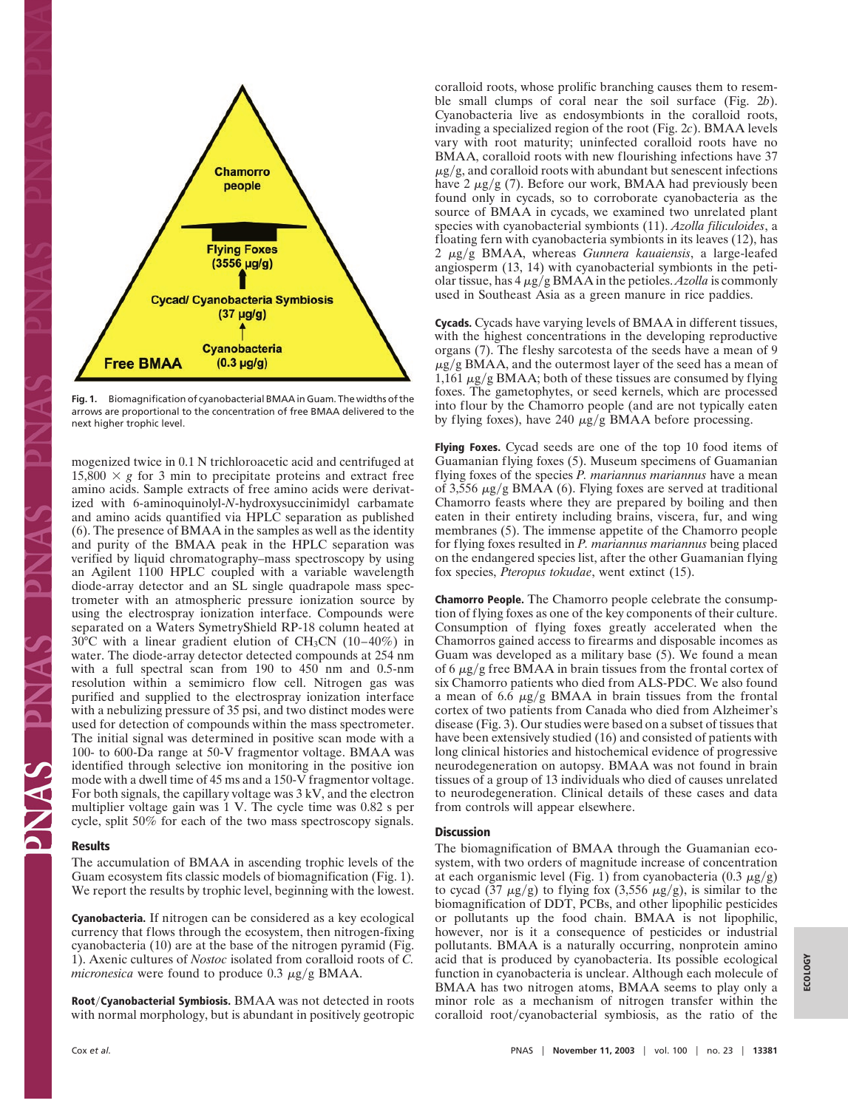

**Fig. 1.** Biomagnification of cyanobacterial BMAA in Guam. The widths of the arrows are proportional to the concentration of free BMAA delivered to the next higher trophic level.

mogenized twice in 0.1 N trichloroacetic acid and centrifuged at  $15,800 \times g$  for 3 min to precipitate proteins and extract free amino acids. Sample extracts of free amino acids were derivatized with 6-aminoquinolyl-*N*-hydroxysuccinimidyl carbamate and amino acids quantified via HPLC separation as published (6). The presence of BMAA in the samples as well as the identity and purity of the BMAA peak in the HPLC separation was verified by liquid chromatography–mass spectroscopy by using an Agilent 1100 HPLC coupled with a variable wavelength diode-array detector and an SL single quadrapole mass spectrometer with an atmospheric pressure ionization source by using the electrospray ionization interface. Compounds were separated on a Waters SymetryShield RP-18 column heated at  $30^{\circ}$ C with a linear gradient elution of CH<sub>3</sub>CN (10–40%) in water. The diode-array detector detected compounds at 254 nm with a full spectral scan from 190 to 450 nm and 0.5-nm resolution within a semimicro flow cell. Nitrogen gas was purified and supplied to the electrospray ionization interface with a nebulizing pressure of 35 psi, and two distinct modes were used for detection of compounds within the mass spectrometer. The initial signal was determined in positive scan mode with a 100- to 600-Da range at 50-V fragmentor voltage. BMAA was identified through selective ion monitoring in the positive ion mode with a dwell time of 45 ms and a 150-V fragmentor voltage. For both signals, the capillary voltage was 3 kV, and the electron multiplier voltage gain was 1 V. The cycle time was 0.82 s per cycle, split 50% for each of the two mass spectroscopy signals.

## **Results**

The accumulation of BMAA in ascending trophic levels of the Guam ecosystem fits classic models of biomagnification (Fig. 1). We report the results by trophic level, beginning with the lowest.

**Cyanobacteria.** If nitrogen can be considered as a key ecological currency that flows through the ecosystem, then nitrogen-fixing cyanobacteria (10) are at the base of the nitrogen pyramid (Fig. 1). Axenic cultures of *Nostoc* isolated from coralloid roots of *C. micronesica* were found to produce  $0.3 \mu g/g$  BMAA.

**RootCyanobacterial Symbiosis.** BMAA was not detected in roots with normal morphology, but is abundant in positively geotropic coralloid roots, whose prolific branching causes them to resemble small clumps of coral near the soil surface (Fig. 2*b*). Cyanobacteria live as endosymbionts in the coralloid roots, invading a specialized region of the root (Fig. 2*c*). BMAA levels vary with root maturity; uninfected coralloid roots have no BMAA, coralloid roots with new flourishing infections have 37  $\mu$ g/g, and coralloid roots with abundant but senescent infections have  $2 \mu g/g$  (7). Before our work, BMAA had previously been found only in cycads, so to corroborate cyanobacteria as the source of BMAA in cycads, we examined two unrelated plant species with cyanobacterial symbionts (11). *Azolla filiculoides*, a floating fern with cyanobacteria symbionts in its leaves (12), has 2  $\mu$ g/g BMAA, whereas *Gunnera kauaiensis*, a large-leafed angiosperm (13, 14) with cyanobacterial symbionts in the petiolar tissue, has 4  $\mu$ g/g BMAA in the petioles. *Azolla* is commonly used in Southeast Asia as a green manure in rice paddies.

**Cycads.** Cycads have varying levels of BMAA in different tissues, with the highest concentrations in the developing reproductive organs (7). The fleshy sarcotesta of the seeds have a mean of 9  $\mu$ g/g BMAA, and the outermost layer of the seed has a mean of  $1,161 \mu$ g/g BMAA; both of these tissues are consumed by flying foxes. The gametophytes, or seed kernels, which are processed into flour by the Chamorro people (and are not typically eaten by flying foxes), have 240  $\mu$ g/g BMAA before processing.

**Flying Foxes.** Cycad seeds are one of the top 10 food items of Guamanian flying foxes (5). Museum specimens of Guamanian flying foxes of the species *P. mariannus mariannus* have a mean of 3,556  $\mu$ g/g BMAA (6). Flying foxes are served at traditional Chamorro feasts where they are prepared by boiling and then eaten in their entirety including brains, viscera, fur, and wing membranes (5). The immense appetite of the Chamorro people for flying foxes resulted in *P. mariannus mariannus* being placed on the endangered species list, after the other Guamanian flying fox species, *Pteropus tokudae*, went extinct (15).

**Chamorro People.** The Chamorro people celebrate the consumption of flying foxes as one of the key components of their culture. Consumption of flying foxes greatly accelerated when the Chamorros gained access to firearms and disposable incomes as Guam was developed as a military base (5). We found a mean of 6  $\mu$ g/g free BMAA in brain tissues from the frontal cortex of six Chamorro patients who died from ALS-PDC. We also found a mean of 6.6  $\mu$ g/g BMAA in brain tissues from the frontal cortex of two patients from Canada who died from Alzheimer's disease (Fig. 3). Our studies were based on a subset of tissues that have been extensively studied (16) and consisted of patients with long clinical histories and histochemical evidence of progressive neurodegeneration on autopsy. BMAA was not found in brain tissues of a group of 13 individuals who died of causes unrelated to neurodegeneration. Clinical details of these cases and data from controls will appear elsewhere.

## **Discussion**

The biomagnification of BMAA through the Guamanian ecosystem, with two orders of magnitude increase of concentration at each organismic level (Fig. 1) from cyanobacteria  $(0.3 \mu g/g)$ to cycad (37  $\mu$ g/g) to flying fox (3,556  $\mu$ g/g), is similar to the biomagnification of DDT, PCBs, and other lipophilic pesticides or pollutants up the food chain. BMAA is not lipophilic, however, nor is it a consequence of pesticides or industrial pollutants. BMAA is a naturally occurring, nonprotein amino acid that is produced by cyanobacteria. Its possible ecological function in cyanobacteria is unclear. Although each molecule of BMAA has two nitrogen atoms, BMAA seems to play only a minor role as a mechanism of nitrogen transfer within the coralloid  $root/c$ yanobacterial symbiosis, as the ratio of the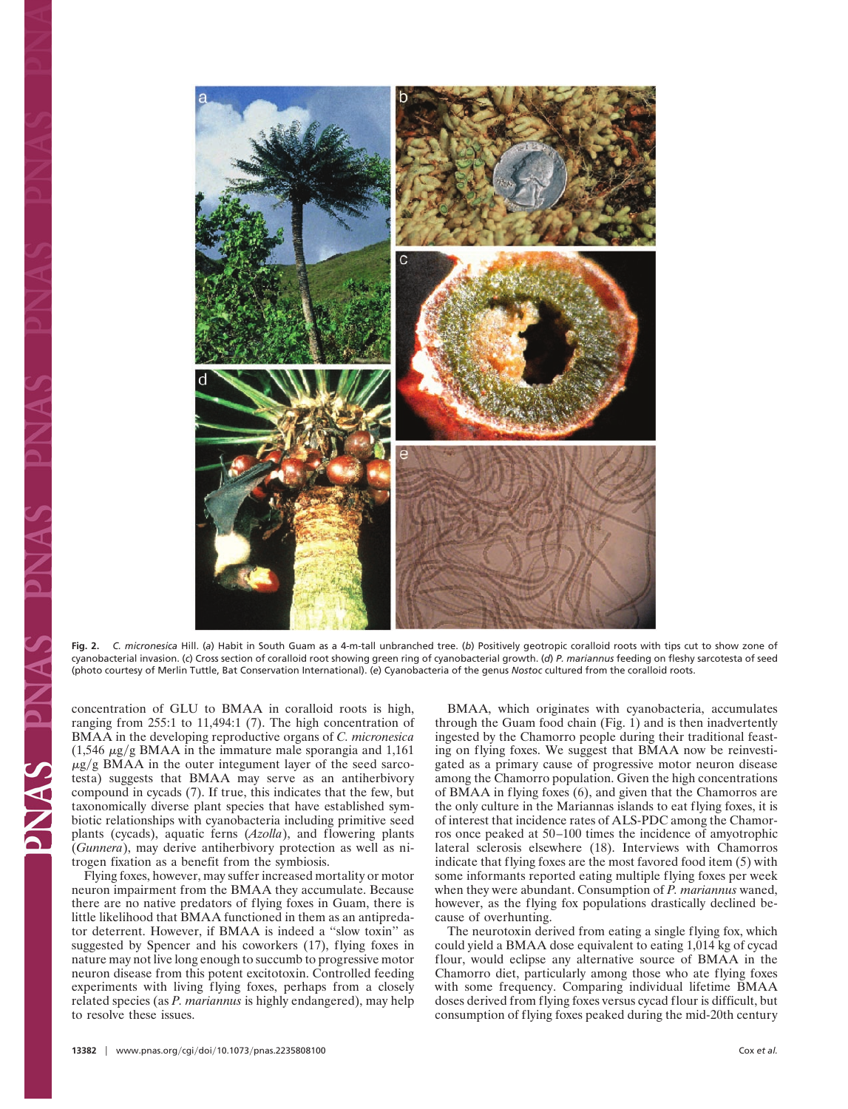

**Fig. 2.** *C. micronesica* Hill. (*a*) Habit in South Guam as a 4-m-tall unbranched tree. (*b*) Positively geotropic coralloid roots with tips cut to show zone of cyanobacterial invasion. (*c*) Cross section of coralloid root showing green ring of cyanobacterial growth. (*d*) *P. mariannus* feeding on fleshy sarcotesta of seed (photo courtesy of Merlin Tuttle, Bat Conservation International). (*e*) Cyanobacteria of the genus *Nostoc* cultured from the coralloid roots.

concentration of GLU to BMAA in coralloid roots is high, ranging from 255:1 to 11,494:1 (7). The high concentration of BMAA in the developing reproductive organs of *C. micronesica*  $(1,546 \mu g/g BMAA$  in the immature male sporangia and 1,161  $\mu$ g/g BMAA in the outer integument layer of the seed sarcotesta) suggests that BMAA may serve as an antiherbivory compound in cycads (7). If true, this indicates that the few, but taxonomically diverse plant species that have established symbiotic relationships with cyanobacteria including primitive seed plants (cycads), aquatic ferns (*Azolla*), and flowering plants (*Gunnera*), may derive antiherbivory protection as well as nitrogen fixation as a benefit from the symbiosis.

Flying foxes, however, may suffer increased mortality or motor neuron impairment from the BMAA they accumulate. Because there are no native predators of flying foxes in Guam, there is little likelihood that BMAA functioned in them as an antipredator deterrent. However, if BMAA is indeed a ''slow toxin'' as suggested by Spencer and his coworkers (17), flying foxes in nature may not live long enough to succumb to progressive motor neuron disease from this potent excitotoxin. Controlled feeding experiments with living flying foxes, perhaps from a closely related species (as *P. mariannus* is highly endangered), may help to resolve these issues.

BMAA, which originates with cyanobacteria, accumulates through the Guam food chain (Fig. 1) and is then inadvertently ingested by the Chamorro people during their traditional feasting on flying foxes. We suggest that BMAA now be reinvestigated as a primary cause of progressive motor neuron disease among the Chamorro population. Given the high concentrations of BMAA in flying foxes (6), and given that the Chamorros are the only culture in the Mariannas islands to eat flying foxes, it is of interest that incidence rates of ALS-PDC among the Chamorros once peaked at 50–100 times the incidence of amyotrophic lateral sclerosis elsewhere (18). Interviews with Chamorros indicate that flying foxes are the most favored food item (5) with some informants reported eating multiple flying foxes per week when they were abundant. Consumption of *P. mariannus* waned, however, as the flying fox populations drastically declined because of overhunting.

The neurotoxin derived from eating a single flying fox, which could yield a BMAA dose equivalent to eating 1,014 kg of cycad flour, would eclipse any alternative source of BMAA in the Chamorro diet, particularly among those who ate flying foxes with some frequency. Comparing individual lifetime BMAA doses derived from flying foxes versus cycad flour is difficult, but consumption of flying foxes peaked during the mid-20th century